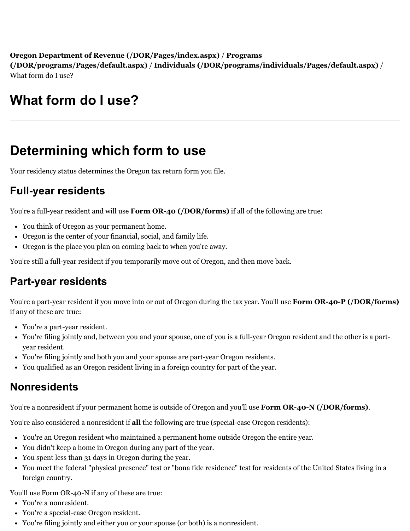**[Oregon Department of Revenue \(/DOR/Pages/index.aspx\)](https://www.oregon.gov/DOR/programs/Pages/default.aspx)** / **Programs (/DOR/programs/Pages/default.aspx)** / **[Individuals \(/DOR/programs/individuals/Pages/default.aspx\)](https://www.oregon.gov/DOR/programs/individuals/Pages/default.aspx)** / What form do I use?

# **What form do I use?**

## **Determining which form to use**

Your residency status determines the Oregon tax return form you file.

## **Full-year residents**

You're a full-year resident and will use **[Form OR-40 \(/DOR/forms\)](https://www.oregon.gov/DOR/forms)** if all of the following are true:

- You think of Oregon as your permanent home.
- Oregon is the center of your financial, social, and family life.
- Oregon is the place you plan on coming back to when you're away.

You're still a full-year resident if you temporarily move out of Oregon, and then move back.

#### **Part-year residents**

You're a part-year resident if you move into or out of Oregon during the tax year. You'll use **[Form OR-40-P \(/DOR/forms\)](https://www.oregon.gov/DOR/forms)** if any of these are true:

- You're a part-year resident.
- You're filing jointly and, between you and your spouse, one of you is a full-year Oregon resident and the other is a partyear resident.
- You're filing jointly and both you and your spouse are part-year Oregon residents.
- You qualified as an Oregon resident living in a foreign country for part of the year.

#### **Nonresidents**

You're a nonresident if your permanent home is outside of Oregon and you'll use **[Form OR-40-N \(/DOR/forms\)](https://www.oregon.gov/DOR/forms)**.

You're also considered a nonresident if **all** the following are true (special-case Oregon residents):

- You're an Oregon resident who maintained a permanent home outside Oregon the entire year.
- You didn't keep a home in Oregon during any part of the year.
- You spent less than 31 days in Oregon during the year.
- You meet the federal "physical presence" test or "bona fide residence" test for residents of the United States living in a foreign country.

You'll use Form OR-40-N if any of these are true:

- You're a nonresident.
- You're a special-case Oregon resident.
- You're filing jointly and either you or your spouse (or both) is a nonresident.